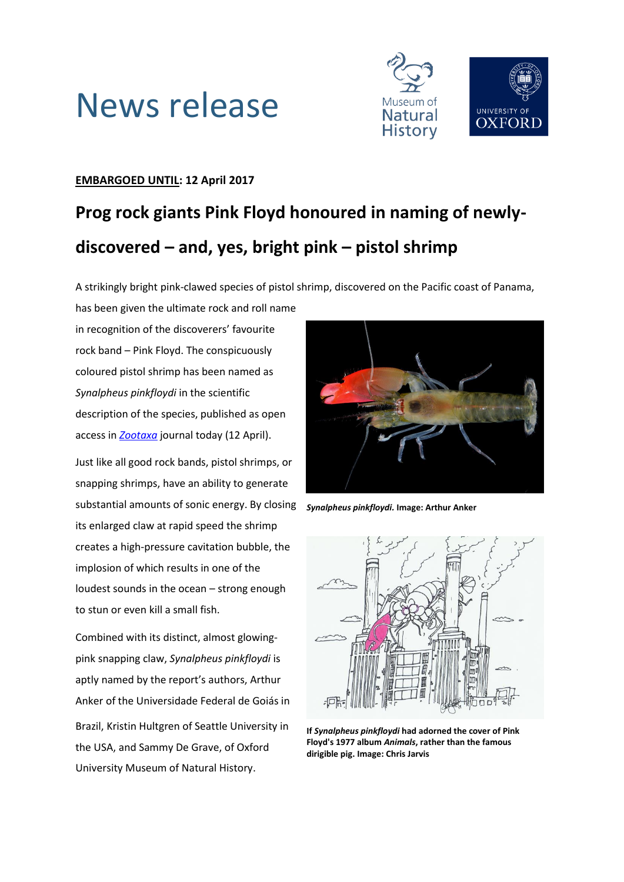



### **EMBARGOED UNTIL: 12 April 2017**

## **Prog rock giants Pink Floyd honoured in naming of newlydiscovered – and, yes, bright pink – pistol shrimp**

A strikingly bright pink-clawed species of pistol shrimp, discovered on the Pacific coast of Panama, has been given the ultimate rock and roll name

in recognition of the discoverers' favourite rock band – Pink Floyd. The conspicuously coloured pistol shrimp has been named as *Synalpheus pinkfloydi* in the scientific description of the species, published as open access in *[Zootaxa](http://dx.doi.org/10.11646/zootaxa.4254.1)* journal today (12 April).

Just like all good rock bands, pistol shrimps, or snapping shrimps, have an ability to generate substantial amounts of sonic energy. By closing its enlarged claw at rapid speed the shrimp creates a high-pressure cavitation bubble, the implosion of which results in one of the loudest sounds in the ocean – strong enough to stun or even kill a small fish.

Combined with its distinct, almost glowingpink snapping claw, *Synalpheus pinkfloydi* is aptly named by the report's authors, Arthur Anker of the Universidade Federal de Goiás in Brazil, Kristin Hultgren of Seattle University in the USA, and Sammy De Grave, of Oxford University Museum of Natural History.



*Synalpheus pinkfloydi.* **Image: Arthur Anker**



**If** *Synalpheus pinkfloydi* **had adorned the cover of Pink Floyd's 1977 album** *Animals***, rather than the famous dirigible pig. Image: Chris Jarvis**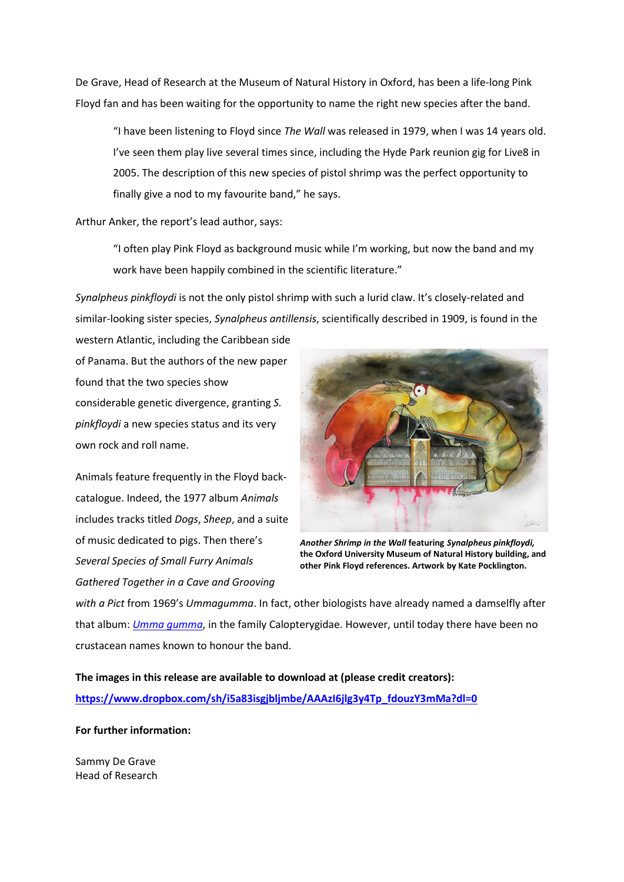De Grave, Head of Research at the Museum of Natural History in Oxford, has been a life-long Pink Floyd fan and has been waiting for the opportunity to name the right new species after the band.

"I have been listening to Floyd since *The Wall* was released in 1979, when I was 14 years old. I've seen them play live several times since, including the Hyde Park reunion gig for Live8 in 2005. The description of this new species of pistol shrimp was the perfect opportunity to finally give a nod to my favourite band," he says.

Arthur Anker, the report's lead author, says:

"I often play Pink Floyd as background music while I'm working, but now the band and my work have been happily combined in the scientific literature."

*Synalpheus pinkfloydi* is not the only pistol shrimp with such a lurid claw. It's closely-related and similar-looking sister species, *Synalpheus antillensis*, scientifically described in 1909, is found in the

western Atlantic, including the Caribbean side of Panama. But the authors of the new paper found that the two species show considerable genetic divergence, granting *S. pinkfloydi* a new species status and its very own rock and roll name.

Animals feature frequently in the Floyd backcatalogue. Indeed, the 1977 album *Animals* includes tracks titled *Dogs*, *Sheep*, and a suite of music dedicated to pigs. Then there's *Several Species of Small Furry Animals Gathered Together in a Cave and Grooving* 



*Another Shrimp in the Wall* **featuring** *Synalpheus pinkfloydi,* **the Oxford University Museum of Natural History building, and other Pink Floyd references. Artwork by Kate Pocklington.**

*with a Pict* from 1969's *Ummagumma*. In fact, other biologists have already named a damselfly after that album: *[Umma gumma](https://en.wikipedia.org/wiki/Umma_gumma)*, in the family Calopterygidae. However, until today there have been no crustacean names known to honour the band.

**The images in this release are available to download at (please credit creators): [https://www.dropbox.com/sh/i5a83isgjbljmbe/AAAzI6jlg3y4Tp\\_fdouzY3mMa?dl=0](https://www.dropbox.com/sh/i5a83isgjbljmbe/AAAzI6jlg3y4Tp_fdouzY3mMa?dl=0)**

**For further information:**

Sammy De Grave Head of Research